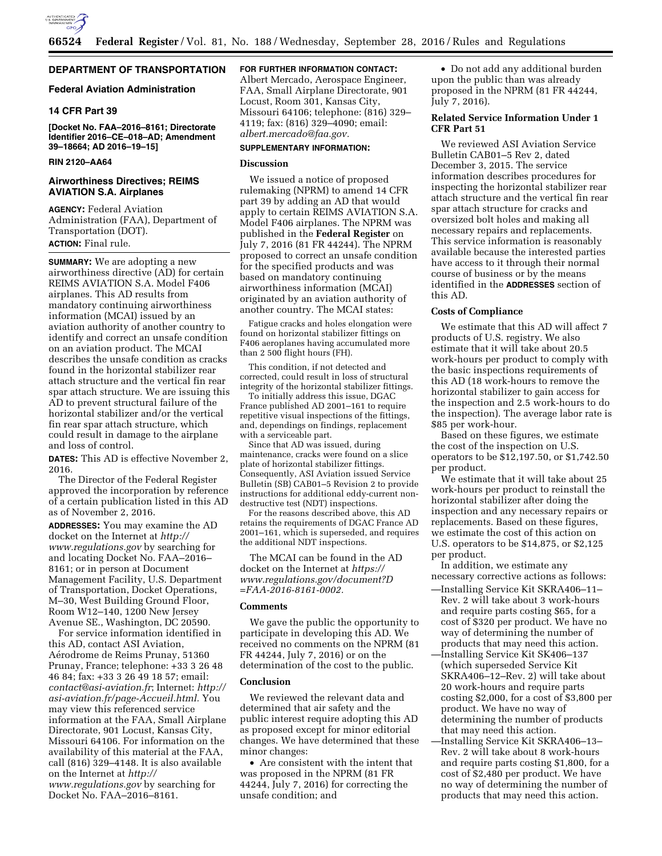

# **DEPARTMENT OF TRANSPORTATION**

# **Federal Aviation Administration**

# **14 CFR Part 39**

**[Docket No. FAA–2016–8161; Directorate Identifier 2016–CE–018–AD; Amendment 39–18664; AD 2016–19–15]** 

# **RIN 2120–AA64**

### **Airworthiness Directives; REIMS AVIATION S.A. Airplanes**

**AGENCY:** Federal Aviation Administration (FAA), Department of Transportation (DOT).

# **ACTION:** Final rule.

**SUMMARY:** We are adopting a new airworthiness directive (AD) for certain REIMS AVIATION S.A. Model F406 airplanes. This AD results from mandatory continuing airworthiness information (MCAI) issued by an aviation authority of another country to identify and correct an unsafe condition on an aviation product. The MCAI describes the unsafe condition as cracks found in the horizontal stabilizer rear attach structure and the vertical fin rear spar attach structure. We are issuing this AD to prevent structural failure of the horizontal stabilizer and/or the vertical fin rear spar attach structure, which could result in damage to the airplane and loss of control.

**DATES:** This AD is effective November 2, 2016.

The Director of the Federal Register approved the incorporation by reference of a certain publication listed in this AD as of November 2, 2016.

**ADDRESSES:** You may examine the AD docket on the Internet at *[http://](http://www.regulations.gov) [www.regulations.gov](http://www.regulations.gov)* by searching for and locating Docket No. FAA–2016– 8161; or in person at Document Management Facility, U.S. Department of Transportation, Docket Operations, M–30, West Building Ground Floor, Room W12–140, 1200 New Jersey Avenue SE., Washington, DC 20590.

For service information identified in this AD, contact ASI Aviation, Aérodrome de Reims Prunay, 51360 Prunay, France; telephone: +33 3 26 48 46 84; fax: +33 3 26 49 18 57; email: *[contact@asi-aviation.fr](mailto:contact@asi-aviation.fr)*; Internet: *[http://](http://asi-aviation.fr/page-Accueil.html) [asi-aviation.fr/page-Accueil.html.](http://asi-aviation.fr/page-Accueil.html)* You may view this referenced service information at the FAA, Small Airplane Directorate, 901 Locust, Kansas City, Missouri 64106. For information on the availability of this material at the FAA, call (816) 329–4148. It is also available on the Internet at *[http://](http://www.regulations.gov) [www.regulations.gov](http://www.regulations.gov)* by searching for Docket No. FAA–2016–8161.

# **FOR FURTHER INFORMATION CONTACT:**

Albert Mercado, Aerospace Engineer, FAA, Small Airplane Directorate, 901 Locust, Room 301, Kansas City, Missouri 64106; telephone: (816) 329– 4119; fax: (816) 329–4090; email: *[albert.mercado@faa.gov.](mailto:albert.mercado@faa.gov)* 

# **SUPPLEMENTARY INFORMATION:**

#### **Discussion**

We issued a notice of proposed rulemaking (NPRM) to amend 14 CFR part 39 by adding an AD that would apply to certain REIMS AVIATION S.A. Model F406 airplanes. The NPRM was published in the **Federal Register** on July 7, 2016 (81 FR 44244). The NPRM proposed to correct an unsafe condition for the specified products and was based on mandatory continuing airworthiness information (MCAI) originated by an aviation authority of another country. The MCAI states:

Fatigue cracks and holes elongation were found on horizontal stabilizer fittings on F406 aeroplanes having accumulated more than 2 500 flight hours (FH).

This condition, if not detected and corrected, could result in loss of structural integrity of the horizontal stabilizer fittings.

To initially address this issue, DGAC France published AD 2001–161 to require repetitive visual inspections of the fittings, and, dependings on findings, replacement with a serviceable part.

Since that AD was issued, during maintenance, cracks were found on a slice plate of horizontal stabilizer fittings. Consequently, ASI Aviation issued Service Bulletin (SB) CAB01–5 Revision 2 to provide instructions for additional eddy-current nondestructive test (NDT) inspections.

For the reasons described above, this AD retains the requirements of DGAC France AD 2001–161, which is superseded, and requires the additional NDT inspections.

The MCAI can be found in the AD docket on the Internet at *[https://](https://www.regulations.gov/document?D=FAA-2016-8161-0002) [www.regulations.gov/document?D](https://www.regulations.gov/document?D=FAA-2016-8161-0002) [=FAA-2016-8161-0002.](https://www.regulations.gov/document?D=FAA-2016-8161-0002)* 

#### **Comments**

We gave the public the opportunity to participate in developing this AD. We received no comments on the NPRM (81 FR 44244, July 7, 2016) or on the determination of the cost to the public.

# **Conclusion**

We reviewed the relevant data and determined that air safety and the public interest require adopting this AD as proposed except for minor editorial changes. We have determined that these minor changes:

• Are consistent with the intent that was proposed in the NPRM (81 FR 44244, July 7, 2016) for correcting the unsafe condition; and

• Do not add any additional burden upon the public than was already proposed in the NPRM (81 FR 44244, July 7, 2016).

# **Related Service Information Under 1 CFR Part 51**

We reviewed ASI Aviation Service Bulletin CAB01–5 Rev 2, dated December 3, 2015. The service information describes procedures for inspecting the horizontal stabilizer rear attach structure and the vertical fin rear spar attach structure for cracks and oversized bolt holes and making all necessary repairs and replacements. This service information is reasonably available because the interested parties have access to it through their normal course of business or by the means identified in the **ADDRESSES** section of this AD.

#### **Costs of Compliance**

We estimate that this AD will affect 7 products of U.S. registry. We also estimate that it will take about 20.5 work-hours per product to comply with the basic inspections requirements of this AD (18 work-hours to remove the horizontal stabilizer to gain access for the inspection and 2.5 work-hours to do the inspection). The average labor rate is \$85 per work-hour.

Based on these figures, we estimate the cost of the inspection on U.S. operators to be \$12,197.50, or \$1,742.50 per product.

We estimate that it will take about 25 work-hours per product to reinstall the horizontal stabilizer after doing the inspection and any necessary repairs or replacements. Based on these figures, we estimate the cost of this action on U.S. operators to be \$14,875, or \$2,125 per product.

In addition, we estimate any necessary corrective actions as follows:

- —Installing Service Kit SKRA406–11– Rev. 2 will take about 3 work-hours and require parts costing \$65, for a cost of \$320 per product. We have no way of determining the number of products that may need this action.
- —Installing Service Kit SK406–137 (which superseded Service Kit SKRA406–12–Rev. 2) will take about 20 work-hours and require parts costing \$2,000, for a cost of \$3,800 per product. We have no way of determining the number of products that may need this action.
- —Installing Service Kit SKRA406–13– Rev. 2 will take about 8 work-hours and require parts costing \$1,800, for a cost of \$2,480 per product. We have no way of determining the number of products that may need this action.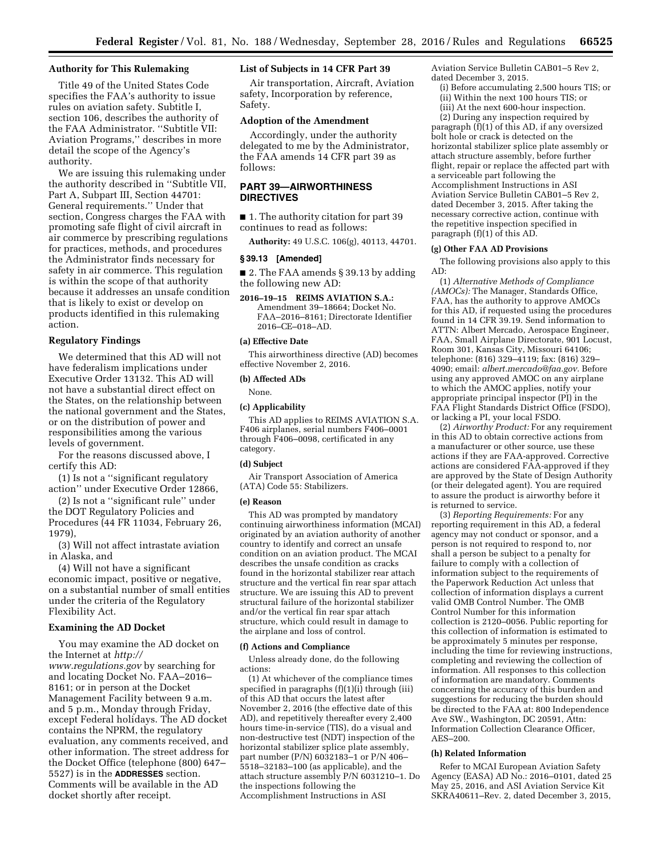# **Authority for This Rulemaking**

Title 49 of the United States Code specifies the FAA's authority to issue rules on aviation safety. Subtitle I, section 106, describes the authority of the FAA Administrator. ''Subtitle VII: Aviation Programs,'' describes in more detail the scope of the Agency's authority.

We are issuing this rulemaking under the authority described in ''Subtitle VII, Part A, Subpart III, Section 44701: General requirements.'' Under that section, Congress charges the FAA with promoting safe flight of civil aircraft in air commerce by prescribing regulations for practices, methods, and procedures the Administrator finds necessary for safety in air commerce. This regulation is within the scope of that authority because it addresses an unsafe condition that is likely to exist or develop on products identified in this rulemaking action.

#### **Regulatory Findings**

We determined that this AD will not have federalism implications under Executive Order 13132. This AD will not have a substantial direct effect on the States, on the relationship between the national government and the States, or on the distribution of power and responsibilities among the various levels of government.

For the reasons discussed above, I certify this AD:

(1) Is not a ''significant regulatory action'' under Executive Order 12866,

(2) Is not a ''significant rule'' under the DOT Regulatory Policies and Procedures (44 FR 11034, February 26, 1979),

(3) Will not affect intrastate aviation in Alaska, and

(4) Will not have a significant economic impact, positive or negative, on a substantial number of small entities under the criteria of the Regulatory Flexibility Act.

# **Examining the AD Docket**

You may examine the AD docket on the Internet at *[http://](http://www.regulations.gov) [www.regulations.gov](http://www.regulations.gov)* by searching for and locating Docket No. FAA–2016– 8161; or in person at the Docket Management Facility between 9 a.m. and 5 p.m., Monday through Friday, except Federal holidays. The AD docket contains the NPRM, the regulatory evaluation, any comments received, and other information. The street address for the Docket Office (telephone (800) 647– 5527) is in the **ADDRESSES** section. Comments will be available in the AD docket shortly after receipt.

### **List of Subjects in 14 CFR Part 39**

Air transportation, Aircraft, Aviation safety, Incorporation by reference, Safety.

#### **Adoption of the Amendment**

Accordingly, under the authority delegated to me by the Administrator, the FAA amends 14 CFR part 39 as follows:

# **PART 39—AIRWORTHINESS DIRECTIVES**

■ 1. The authority citation for part 39 continues to read as follows:

**Authority:** 49 U.S.C. 106(g), 40113, 44701.

#### **§ 39.13 [Amended]**

■ 2. The FAA amends § 39.13 by adding the following new AD:

**2016–19–15 REIMS AVIATION S.A.:**  Amendment 39–18664; Docket No. FAA–2016–8161; Directorate Identifier 2016–CE–018–AD.

#### **(a) Effective Date**

This airworthiness directive (AD) becomes effective November 2, 2016.

# **(b) Affected ADs**

None.

#### **(c) Applicability**

This AD applies to REIMS AVIATION S.A. F406 airplanes, serial numbers F406–0001 through F406–0098, certificated in any category.

#### **(d) Subject**

Air Transport Association of America (ATA) Code 55: Stabilizers.

#### **(e) Reason**

This AD was prompted by mandatory continuing airworthiness information (MCAI) originated by an aviation authority of another country to identify and correct an unsafe condition on an aviation product. The MCAI describes the unsafe condition as cracks found in the horizontal stabilizer rear attach structure and the vertical fin rear spar attach structure. We are issuing this AD to prevent structural failure of the horizontal stabilizer and/or the vertical fin rear spar attach structure, which could result in damage to the airplane and loss of control.

#### **(f) Actions and Compliance**

Unless already done, do the following actions:

(1) At whichever of the compliance times specified in paragraphs  $(f)(1)(i)$  through (iii) of this AD that occurs the latest after November 2, 2016 (the effective date of this AD), and repetitively thereafter every 2,400 hours time-in-service (TIS), do a visual and non-destructive test (NDT) inspection of the horizontal stabilizer splice plate assembly, part number (P/N) 6032183–1 or P/N 406– 5518–32183–100 (as applicable), and the attach structure assembly P/N 6031210–1. Do the inspections following the Accomplishment Instructions in ASI

Aviation Service Bulletin CAB01–5 Rev 2, dated December 3, 2015.

(i) Before accumulating 2,500 hours TIS; or (ii) Within the next 100 hours TIS; or

(iii) At the next 600-hour inspection.

(2) During any inspection required by paragraph (f)(1) of this AD, if any oversized bolt hole or crack is detected on the horizontal stabilizer splice plate assembly or attach structure assembly, before further flight, repair or replace the affected part with a serviceable part following the Accomplishment Instructions in ASI Aviation Service Bulletin CAB01–5 Rev 2, dated December 3, 2015. After taking the necessary corrective action, continue with the repetitive inspection specified in paragraph (f)(1) of this AD.

### **(g) Other FAA AD Provisions**

The following provisions also apply to this AD:

(1) *Alternative Methods of Compliance (AMOCs):* The Manager, Standards Office, FAA, has the authority to approve AMOCs for this AD, if requested using the procedures found in 14 CFR 39.19. Send information to ATTN: Albert Mercado, Aerospace Engineer, FAA, Small Airplane Directorate, 901 Locust, Room 301, Kansas City, Missouri 64106; telephone: (816) 329–4119; fax: (816) 329– 4090; email: *[albert.mercado@faa.gov.](mailto:albert.mercado@faa.gov)* Before using any approved AMOC on any airplane to which the AMOC applies, notify your appropriate principal inspector (PI) in the FAA Flight Standards District Office (FSDO), or lacking a PI, your local FSDO.

(2) *Airworthy Product:* For any requirement in this AD to obtain corrective actions from a manufacturer or other source, use these actions if they are FAA-approved. Corrective actions are considered FAA-approved if they are approved by the State of Design Authority (or their delegated agent). You are required to assure the product is airworthy before it is returned to service.

(3) *Reporting Requirements:* For any reporting requirement in this AD, a federal agency may not conduct or sponsor, and a person is not required to respond to, nor shall a person be subject to a penalty for failure to comply with a collection of information subject to the requirements of the Paperwork Reduction Act unless that collection of information displays a current valid OMB Control Number. The OMB Control Number for this information collection is 2120–0056. Public reporting for this collection of information is estimated to be approximately 5 minutes per response, including the time for reviewing instructions, completing and reviewing the collection of information. All responses to this collection of information are mandatory. Comments concerning the accuracy of this burden and suggestions for reducing the burden should be directed to the FAA at: 800 Independence Ave SW., Washington, DC 20591, Attn: Information Collection Clearance Officer, AES–200.

#### **(h) Related Information**

Refer to MCAI European Aviation Safety Agency (EASA) AD No.: 2016–0101, dated 25 May 25, 2016, and ASI Aviation Service Kit SKRA40611–Rev. 2, dated December 3, 2015,